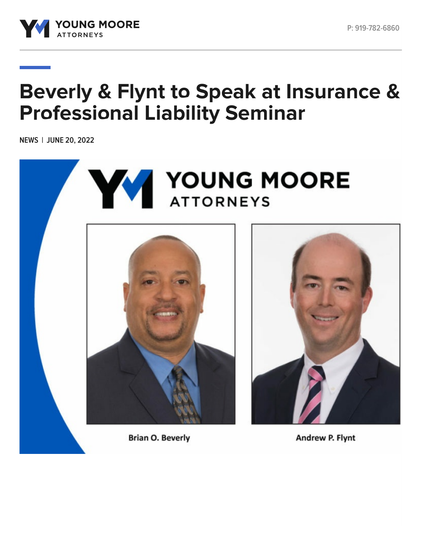

## **Beverly & Flynt to Speak at Insurance & Professional Liability Seminar**

**NEWS | JUNE 20, 2022**

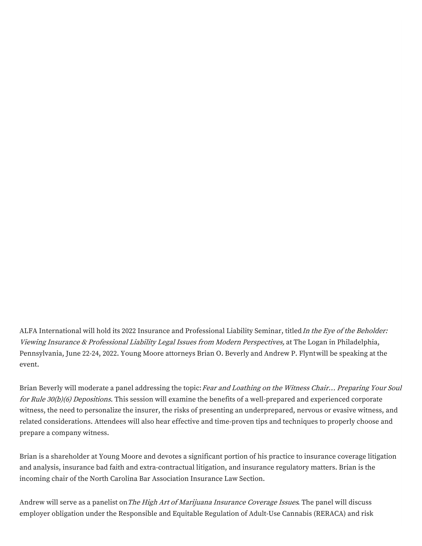ALFA International will hold its 2022 Insurance and Professional Liability Seminar, titled In the Eye of the Beholder: Viewing Insurance & Professional Liability Legal Issues from Modern Perspectives, at The Logan in Philadelphia, Pennsylvania, June 22-24, 2022. Young Moore attorneys Brian O. [Beverly](https://www.youngmoorelaw.com/people/attorneys/brian-beverly/) and [Andrew](https://www.youngmoorelaw.com/people/attorneys/andrew-flynt/) P. Flyntwill be speaking at the event.

Brian Beverly will moderate a panel addressing the topic: Fear and Loathing on the Witness Chair... Preparing Your Soul for Rule 30(b)(6) Depositions. This session will examine the benefits of a well-prepared and experienced corporate witness, the need to personalize the insurer, the risks of presenting an underprepared, nervous or evasive witness, and related considerations. Attendees will also hear effective and time-proven tips and techniques to properly choose and prepare a company witness.

Brian is a shareholder at Young Moore and devotes a significant portion of his practice to insurance coverage litigation and analysis, insurance bad faith and extra-contractual litigation, and insurance regulatory matters. Brian is the incoming chair of the North Carolina Bar Association Insurance Law Section.

Andrew will serve as a panelist on *The High Art of Marijuana Insurance Coverage Issues*. The panel will discuss employer obligation under the Responsible and Equitable Regulation of Adult-Use Cannabis (RERACA) and risk